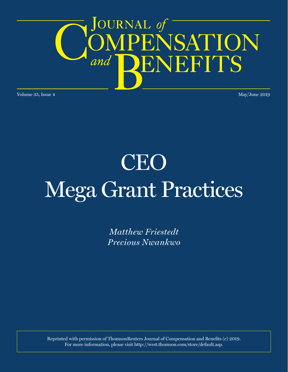

Volume 35, Issue 4 May/June 2019

# CEO Mega Grant Practices

*Matthew Friestedt Precious Nwankwo*

Reprinted with permission of ThomsonReuters Journal of Compensation and Benefits (c) 2019. For more information, please visit http://west.thomson.com/store/default.asp.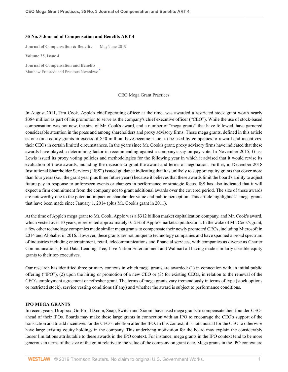#### **35 No. 3 Journal of Compensation and Benefits ART 4**

**Journal of Compensation & Benefits** | May/June 2019

**Volume 35, Issue 4**

**Journal of Compensation and Benefits** Matthew Friestedt and Precious Nwankwo

#### <span id="page-1-0"></span>CEO Mega Grant Practices

In August 2011, Tim Cook, Apple's chief operating officer at the time, was awarded a restricted stock grant worth nearly \$384 million as part of his promotion to serve as the company's chief executive officer ("CEO"). While the use of stock-based compensation was not new, the size of Mr. Cook's award, and a number of "mega grants" that have followed, have garnered considerable attention in the press and among shareholders and proxy advisory firms. These mega grants, defined in this article as one-time equity grants in excess of \$50 million, have become a tool to be used by companies to reward and incentivize their CEOs in certain limited circumstances. In the years since Mr. Cook's grant, proxy advisory firms have indicated that these awards have played a determining factor in recommending against a company's say-on-pay vote. In November 2015, Glass Lewis issued its proxy voting policies and methodologies for the following year in which it advised that it would revise its evaluation of these awards, including the decision to grant the award and terms of negotiation. Further, in December 2018 Institutional Shareholder Services ("ISS") issued guidance indicating that it is unlikely to support equity grants that cover more than four years (*i.e.*, the grant year plus three future years) because it believes that these awards limit the board's ability to adjust future pay in response to unforeseen events or changes in performance or strategic focus. ISS has also indicated that it will expect a firm commitment from the company not to grant additional awards over the covered period. The size of these awards are noteworthy due to the potential impact on shareholder value and public perception. This article highlights 21 mega grants that have been made since January 1, 2014 (plus Mr. Cook's grant in 2011).

At the time of Apple's mega grant to Mr. Cook, Apple was a \$312 billion market capitalization company, and Mr. Cook's award, which vested over 10 years, represented approximately 0.12% of Apple's market capitalization. In the wake of Mr. Cook's grant, a few other technology companies made similar mega grants to compensate their newly promoted CEOs, including Microsoft in 2014 and Alphabet in 2016. However, these grants are not unique to technology companies and have spanned a broad spectrum of industries including entertainment, retail, telecommunications and financial services, with companies as diverse as Charter Communications, First Data, Lending Tree, Live Nation Entertainment and Walmart all having made similarly sizeable equity grants to their top executives.

Our research has identified three primary contexts in which mega grants are awarded: (1) in connection with an initial public offering ("IPO"), (2) upon the hiring or promotion of a new CEO or (3) for existing CEOs, in relation to the renewal of the CEO's employment agreement or refresher grant. The terms of mega grants vary tremendously in terms of type (stock options or restricted stock), service vesting conditions (if any) and whether the award is subject to performance conditions.

#### **IPO MEGA GRANTS**

In recent years, Dropbox, Go-Pro, JD.com, Snap, Switch and Xiaomi have used mega grants to compensate their founder-CEOs ahead of their IPOs. Boards may make these large grants in connection with an IPO to encourage the CEO's support of the transaction and to add incentives for the CEO's retention after the IPO. In this context, it is not unusual for the CEO to otherwise have large existing equity holdings in the company. This underlying motivation for the board may explain the considerably looser limitations attributable to these awards in the IPO context. For instance, mega grants in the IPO context tend to be more generous in terms of the size of the grant relative to the value of the company on grant date. Mega grants in the IPO context are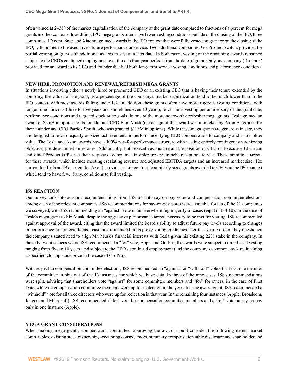often valued at 2–3% of the market capitalization of the company at the grant date compared to fractions of a percent for mega grants in other contexts. In addition, IPO mega grants often have fewer vesting conditions outside of the closing of the IPO; three companies, JD.com, Snap and Xiaomi, granted awards in the IPO context that were fully vested on grant or on the closing of the IPO, with no ties to the executive's future performance or service. Two additional companies, Go-Pro and Switch, provided for partial vesting on grant with additional awards to vest at a later date. In both cases, vesting of the remaining awards remained subject to the CEO's continued employment over three to four year periods from the date of grant. Only one company (Dropbox) provided for an award to its CEO and founder that had both long-term service vesting conditions and performance conditions.

## **NEW HIRE, PROMOTION AND RENEWAL/REFRESH MEGA GRANTS**

In situations involving either a newly hired or promoted CEO or an existing CEO that is having their tenure extended by the company, the values of the grant, as a percentage of the company's market capitalization tend to be much lower than in the IPO context, with most awards falling under 1%. In addition, these grants often have more rigorous vesting conditions, with longer time horizons (three to five years and sometimes even 10 years), fewer units vesting per anniversary of the grant date, performance conditions and targeted stock price goals. In one of the more noteworthy refresher mega grants, Tesla granted an award of \$2.6B in options to its founder and CEO Elon Musk (the design of this award was mimicked by Axon Enterprise for their founder and CEO Patrick Smith, who was granted \$118M in options). While these mega grants are generous in size, they are designed to reward equally outsized achievements in performance, tying CEO compensation to company and shareholder value. The Tesla and Axon awards have a 100% pay-for-performance structure with vesting entirely contingent on achieving objective, pre-determined milestones. Additionally, both executives must retain the position of CEO or Executive Chairman and Chief Product Officer at their respective companies in order for any tranche of options to vest. These ambitious targets for these awards, which include meeting escalating revenue and adjusted EBITDA targets and an increased market size (12x current for Tesla and 9x current for Axon), provide a stark contrast to similarly sized grants awarded to CEOs in the IPO context which tend to have few, if any, conditions to full vesting.

## **ISS REACTION**

Our survey took into account recommendations from ISS for both say-on-pay votes and compensation committee elections among each of the relevant companies. ISS recommendations for say-on-pay votes were available for ten of the 21 companies we surveyed, with ISS recommending an "against" vote in an overwhelming majority of cases (eight out of 10). In the case of Tesla's mega grant to Mr. Musk, despite the aggressive performance targets necessary to be met for vesting, ISS recommended against approval of the award, citing that the award limited the board's ability to adjust future pay levels according to changes in performance or strategic focus, reasoning it included in its proxy voting guidelines later that year. Further, they questioned the company's stated need to align Mr. Musk's financial interests with Tesla given his existing 22% stake in the company. In the only two instances where ISS recommended a "for" vote, Apple and Go-Pro, the awards were subject to time-based vesting ranging from five to 10 years, and subject to the CEO's continued employment (and the company's common stock maintaining a specified closing stock price in the case of Go-Pro).

With respect to compensation committee elections, ISS recommended an "against" or "withhold" vote of at least one member of the committee in nine out of the 13 instances for which we have data. In three of the nine cases, ISS's recommendations were split, advising that shareholders vote "against" for some committee members and "for" for others. In the case of First Data, while no compensation committee members were up for reelection in the year after the award grant, ISS recommended a "withhold" vote for all three directors who were up for reelection in that year. In the remaining four instances (Apple, Broadcom, Jet.com and Microsoft), ISS recommended a "for" vote for compensation committee members and a "for" vote on say-on-pay only in one instance (Apple).

## **MEGA GRANT CONSIDERATIONS**

When making mega grants, compensation committees approving the award should consider the following items: market comparables, existing stock ownership, accounting consequences, summary compensation table disclosure and shareholder and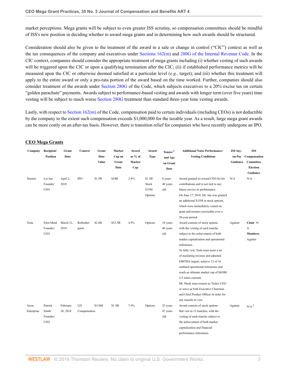market perceptions. Mega grants will be subject to even greater ISS scrutiny, so compensation committees should be mindful of ISS's new position in deciding whether to award mega grants and in determining how such awards should be structured.

Consideration should also be given to the treatment of the award in a sale or change in control ("CIC") context as well as the tax consequences of the company and executives under [Sections 162\(m\)](http://www.westlaw.com/Link/Document/FullText?findType=L&pubNum=1012823&cite=26USCAS162&originatingDoc=I28f029e86d7511e99848e2b3c6e2e0ac&refType=LQ&originationContext=document&vr=3.0&rs=cblt1.0&transitionType=DocumentItem&contextData=(sc.UserEnteredCitation)) and [280G of the Internal Revenue Code.](http://www.westlaw.com/Link/Document/FullText?findType=L&pubNum=1012823&cite=26USCAS280G&originatingDoc=I28f029e86d7511e99848e2b3c6e2e0ac&refType=LQ&originationContext=document&vr=3.0&rs=cblt1.0&transitionType=DocumentItem&contextData=(sc.UserEnteredCitation)) In the CIC context, companies should consider the appropriate treatment of mega grants including (i) whether vesting of such awards will be triggered upon the CIC or upon a qualifying termination after the CIC; (ii) if established performance metrics will be measured upon the CIC or otherwise deemed satisfied at a particular level (*e.g.*, target); and (iii) whether this treatment will apply to the entire award or only a pro-rata portion of the award based on the time worked. Further, companies should also consider treatment of the awards under [Section 280G](http://www.westlaw.com/Link/Document/FullText?findType=L&pubNum=1012823&cite=26USCAS280G&originatingDoc=I28f029e86d7511e99848e2b3c6e2e0ac&refType=LQ&originationContext=document&vr=3.0&rs=cblt1.0&transitionType=DocumentItem&contextData=(sc.UserEnteredCitation)) of the Code, which subjects executives to a 20% excise tax on certain "golden parachute" payments. Awards subject to performance-based vesting and awards with longer term (over five years) time vesting will be subject to much worse [Section 280G](http://www.westlaw.com/Link/Document/FullText?findType=L&pubNum=1012823&cite=26USCAS280G&originatingDoc=I28f029e86d7511e99848e2b3c6e2e0ac&refType=LQ&originationContext=document&vr=3.0&rs=cblt1.0&transitionType=DocumentItem&contextData=(sc.UserEnteredCitation)) treatment than standard three-year time vesting awards.

Lastly, with respect to [Section 162\(m\)](http://www.westlaw.com/Link/Document/FullText?findType=L&pubNum=1012823&cite=26USCAS162&originatingDoc=I28f029e86d7511e99848e2b3c6e2e0ac&refType=LQ&originationContext=document&vr=3.0&rs=cblt1.0&transitionType=DocumentItem&contextData=(sc.UserEnteredCitation)) of the Code, compensation paid to certain individuals (including CEOs) is not deductible by the company to the extent such compensation exceeds \$1,000,000 for the taxable year. As a result, large mega grant awards can be more costly on an after-tax basis. However, there is transition relief for companies who have recently undergone an IPO.

<span id="page-3-1"></span>

| Company            | Recipient/<br><b>Position</b>       | Grant<br>Date        | Context             | Grant<br>Date<br>Value | Market<br>Cap on<br>Grant<br>Date | Award<br>as % of<br>Market<br>Cap | Award<br><b>Type</b>                | Tenure <sup>1</sup><br>and Age<br>on Grant<br>Date | <b>Additional Notes Performance/</b><br><b>Vesting Conditions</b>                                                                                                                                                                                                                                                                                                                                                                                                                                                                           | <b>ISS Say-</b><br>Guidance | <b>ISS</b><br>on-Pay Compensation<br>Committee<br><b>Election</b><br>Guidance |
|--------------------|-------------------------------------|----------------------|---------------------|------------------------|-----------------------------------|-----------------------------------|-------------------------------------|----------------------------------------------------|---------------------------------------------------------------------------------------------------------------------------------------------------------------------------------------------------------------------------------------------------------------------------------------------------------------------------------------------------------------------------------------------------------------------------------------------------------------------------------------------------------------------------------------------|-----------------------------|-------------------------------------------------------------------------------|
| Xiaomi             | Lei Jun<br>Founder/<br>CEO          | April 2,<br>2018     | <b>IPO</b>          | \$1.5B                 | \$54B                             | 2.8%                              | \$1.5B<br>Stock<br>\$15M<br>Options | 8 years<br>48 years<br>old                         | Award granted to reward CEO for his<br>contributions and is not tied to any<br>future service or performance.<br>On June 17, 2018, Mr. Jun was granted<br>an additional \$15M in stock options,<br>which were immediately vested on<br>grant and remain exercisable over a<br>20-year period.                                                                                                                                                                                                                                               | N/A                         | N/A                                                                           |
| Tesla              | Elon Musk<br>Founder/<br><b>CEO</b> | March 21,<br>2018    | Refresher<br>grant  | \$2.6B                 | \$53.5B                           | 4.9%                              | Options                             | 10 years<br>46 years<br>old                        | Award consists of stock options<br>with the vesting of each tranche<br>subject to the achievement of both<br>market capitalization and operational<br>milestones.<br>To fully vest, Tesla must meet a set<br>of escalating revenue and adjusted<br>EBITDA targets, achieve 12 of 16<br>outlined operational milestones and<br>reach an ultimate market cap of \$650B<br>(12 times current).<br>Mr. Musk must remain as Tesla's CEO<br>or serve as both Executive Chairman<br>and Chief Product Officer in order for<br>any tranche to vest. | Against                     | Chair: N/<br>A<br>Members:<br>Against                                         |
| Axon<br>Enterprise | Patrick<br>Smith<br>Founder/<br>CEO | February<br>26, 2018 | LTI<br>Compensation | \$118M                 | \$1.5B                            | 7.9%                              | Options                             | 25 years<br>47 years<br>old                        | Award consists of stock options<br>that vest in 12 tranches, with the<br>vesting of each tranche subject to<br>the achievement of both market<br>capitalization and financial<br>performance milestones.                                                                                                                                                                                                                                                                                                                                    | Against                     | N/A <sup>2</sup>                                                              |

# <span id="page-3-0"></span>**CEO Mega Grants**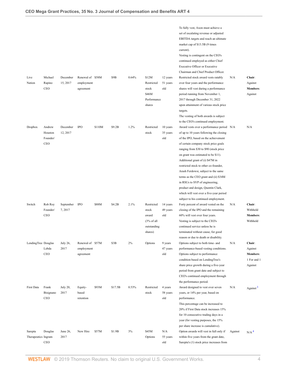<span id="page-4-1"></span><span id="page-4-0"></span>

|                                |                                             |                      |                                             |        |         |       |                                                                       |                             | To fully vest, Axon must achieve a<br>set of escalating revenue or adjusted<br>EBITDA targets and reach an ultimate<br>market cap of \$13.5B (9 times<br>current).<br>Vesting is contingent on the CEO's<br>continued employed as either Chief<br>Executive Officer or Executive<br>Chairman and Chief Product Officer.                                                                                                                                                                                                                                                       |         |                                                                |
|--------------------------------|---------------------------------------------|----------------------|---------------------------------------------|--------|---------|-------|-----------------------------------------------------------------------|-----------------------------|-------------------------------------------------------------------------------------------------------------------------------------------------------------------------------------------------------------------------------------------------------------------------------------------------------------------------------------------------------------------------------------------------------------------------------------------------------------------------------------------------------------------------------------------------------------------------------|---------|----------------------------------------------------------------|
| Live<br>Nation                 | Michael<br>Rapino<br><b>CEO</b>             | December<br>15, 2017 | Renewal of \$58M<br>employment<br>agreement |        | \$9B    | 0.64% | \$12M<br>Restricted<br>stock<br>\$46M<br>Performance<br>shares        | 12 years<br>51 years<br>old | Restricted stock award vests ratably<br>over four years and the performance<br>shares will vest during a performance<br>period running from November 1,<br>2017 through December 31, 2022<br>upon attainment of various stock price<br>targets.<br>The vesting of both awards is subject<br>to the CEO's continued employment.                                                                                                                                                                                                                                                | N/A     | Chair:<br>Against<br><b>Members:</b><br>Against                |
| Dropbox                        | Andrew<br>Houston<br>Founder/<br><b>CEO</b> | December<br>12, 2017 | <b>IPO</b>                                  | \$110M | \$9.2B  | 1.2%  | Restricted<br>stock                                                   | 10 years<br>35 years<br>old | Award vests over a performance period N/A<br>of up to 10 years following the closing<br>of the IPO, based on the achievement<br>of certain company stock price goals<br>ranging from \$30 to \$90 (stock price<br>on grant was estimated to be \$11).<br>Additional grant of (i) \$47M in<br>restricted stock to other co-founder,<br>Arash Ferdowsi, subject to the same<br>terms as the CEO grant and (ii) \$34M<br>in RSUs to SVP of engineering,<br>product and design, Quentin Clark,<br>which will vest over a five-year period<br>subject to his continued employment. |         | N/A                                                            |
| Switch                         | Rob Roy<br>Founder/<br>CEO                  | September<br>7,2017  | <b>IPO</b>                                  | \$88M  | \$4.2B  | 2.1%  | Restricted<br>stock<br>award<br>(3% of all)<br>outstanding<br>shares) | 14 years<br>49 years<br>old | Forty percent of award vested on the<br>closing of the IPO and the remaining<br>60% will vest over four years.<br>Vesting is subject to the CEO's<br>continued service unless he is<br>terminated without cause, for good<br>reason or due to death or disability.                                                                                                                                                                                                                                                                                                            | N/A     | Chair:<br>Withhold<br>Members:<br>Withhold                     |
| LendingTree Douglas            | Lebda<br>CEO                                | July 26,<br>2017     | Renewal of \$57M<br>employment<br>agreement |        | \$3B    | 2%    | Options                                                               | 9 years<br>47 years<br>old  | Options subject to both time- and<br>performance-based vesting conditions.<br>Options subject to performance<br>condition based on LendingTree's<br>share price growth during a five-year<br>period from grant date and subject to<br>CEO's continued employment through<br>the performance period.                                                                                                                                                                                                                                                                           | N/A     | Chair:<br>Against<br><b>Members:</b><br>1 For and 1<br>Against |
| First Data                     | Frank<br>Bisignano<br><b>CEO</b>            | July 20,<br>2017     | Equity-<br>based<br>retention               | \$93M  | \$17.5B | 0.53% | Restricted<br>stock                                                   | 4 years<br>58 years<br>old  | Award designed to vest over seven<br>years, or 14% per year, based on<br>performance.<br>This percentage can be increased to<br>20% if First Data stock increases 15%<br>for 10 consecutive trading days in a<br>year (for vesting purposes, the 15%<br>per share increase is cumulative).                                                                                                                                                                                                                                                                                    | N/A     | Against <sup>3</sup>                                           |
| Sarepta<br>Therapeutics Ingram | Douglas<br>CEO                              | June 26,<br>2017     | New Hire                                    | \$57M  | \$1.9B  | 3%    | \$45M<br>Options                                                      | N/A<br>55 years<br>old      | Option awards will vest in full only if<br>within five years from the grant date,<br>Sarepta's (1) stock price increases from                                                                                                                                                                                                                                                                                                                                                                                                                                                 | Against | N/A <sup>4</sup>                                               |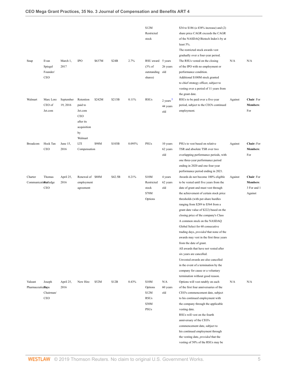<span id="page-5-0"></span>

|                                 |                                    |                       |                                                                                            |        |         |        | \$12M<br>Restricted<br>stock                              |                                  | \$34 to \$186 (a 438% increase) and (2)<br>share price CAGR exceeds the CAGR<br>of the NASDAQ Biotech Index's by at<br>least 5%.<br>The restricted stock awards vest<br>gradually over a four-year period.                                                                                                                                                                                                                                                                                                                                                                                                                                                                                                       |         |                                                         |
|---------------------------------|------------------------------------|-----------------------|--------------------------------------------------------------------------------------------|--------|---------|--------|-----------------------------------------------------------|----------------------------------|------------------------------------------------------------------------------------------------------------------------------------------------------------------------------------------------------------------------------------------------------------------------------------------------------------------------------------------------------------------------------------------------------------------------------------------------------------------------------------------------------------------------------------------------------------------------------------------------------------------------------------------------------------------------------------------------------------------|---------|---------------------------------------------------------|
| Snap                            | Evan<br>Spiegel<br>Founder/<br>CEO | March 1,<br>2017      | <b>IPO</b>                                                                                 | \$637M | \$24B   | 2.7%   | RSU award 5 years<br>(3% of<br>outstanding<br>shares)     | 26 years<br>old                  | The RSUs vested on the closing<br>of the IPO with no employment or<br>performance condition.<br>Additional \$100M stock granted<br>to chief strategy officer, subject to<br>vesting over a period of 11 years from<br>the grant date.                                                                                                                                                                                                                                                                                                                                                                                                                                                                            | N/A     | N/A                                                     |
| Walmart                         | Marc Lore<br>CEO of<br>Jet.com     | September<br>19, 2016 | Retention<br>paid to<br>Jet.com<br><b>CEO</b><br>after its<br>acquisition<br>by<br>Walmart | \$242M | \$213B  | 0.11%  | <b>RSUs</b>                                               | $2$ years $5$<br>44 years<br>old | RSUs to be paid over a five-year<br>period, subject to the CEO's continued<br>employment.                                                                                                                                                                                                                                                                                                                                                                                                                                                                                                                                                                                                                        | Against | Chair: For<br><b>Members:</b><br>For                    |
| Broadcom                        | Hock Tan<br>CEO                    | June 15,<br>2016      | LTI<br>Compensation                                                                        | \$98M  | \$103B  | 0.095% | PSUs                                                      | 10 years<br>62 years<br>old      | PSUs to vest based on relative<br>TSR and absolute TSR over two<br>overlapping performance periods, with<br>one three-year performance period<br>ending in 2020 and one four-year<br>performance period ending in 2021.                                                                                                                                                                                                                                                                                                                                                                                                                                                                                          | Against | Chair: For<br><b>Members:</b><br>For                    |
| Charter<br>Communicationstledge | Thomas<br>CEO                      | April 25,<br>2016     | Renewal of \$88M<br>employment<br>agreement                                                |        | \$42.5B | 0.21%  | \$10M<br>Restricted<br>stock<br>\$78M<br>Options          | 4 years<br>62 years<br>old       | Awards do not become 100% eligible<br>to be vested until five years from the<br>date of grant and must vest through<br>the achievement of certain stock price<br>thresholds (with per-share hurdles<br>ranging from \$289 to \$564 from a<br>grant date value of \$222) based on the<br>closing price of the company's Class<br>A common stock on the NASDAQ<br>Global Select for 60 consecutive<br>trading days, <i>provided</i> that none of the<br>awards may vest in the first three years<br>from the date of grant.<br>All awards that have not vested after<br>six years are cancelled.<br>Unvested awards are also cancelled<br>in the event of a termination by the<br>company for cause or a voluntary | Against | Chair: For<br><b>Members:</b><br>3 For and 1<br>Against |
| Valeant<br>Pharmaceuticalspa    | Joseph<br>Chairman/<br>CEO         | April 25,<br>2016     | New Hire                                                                                   | \$52M  | \$12B   | 0.43%  | \$10M<br>Options<br>\$12M<br><b>RSUs</b><br>\$30M<br>PSUs | N/A<br>60 years<br>old           | termination without good reason.<br>Options will vest ratably on each<br>of the first four anniversaries of the<br>CEO's commencement date, subject<br>to his continued employment with<br>the company through the applicable<br>vesting date.<br>RSUs will vest on the fourth<br>anniversary of the CEO's<br>commencement date, subject to<br>his continued employment through<br>the vesting date, <i>provided</i> that the<br>vesting of 50% of the RSUs may be                                                                                                                                                                                                                                               | N/A     | N/A                                                     |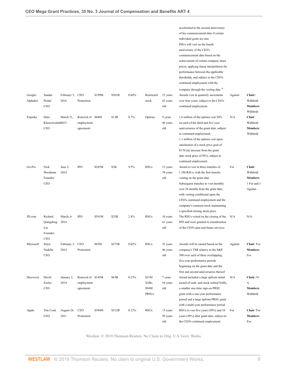<span id="page-6-0"></span>

|           |                 |             |                   |        |        |       |              |          | accelerated to the second anniversary          |         |             |
|-----------|-----------------|-------------|-------------------|--------|--------|-------|--------------|----------|------------------------------------------------|---------|-------------|
|           |                 |             |                   |        |        |       |              |          | of his commencement date if certain            |         |             |
|           |                 |             |                   |        |        |       |              |          | individual goals are met.                      |         |             |
|           |                 |             |                   |        |        |       |              |          | PSUs will vest on the fourth                   |         |             |
|           |                 |             |                   |        |        |       |              |          | anniversary of the CEO's                       |         |             |
|           |                 |             |                   |        |        |       |              |          | commencement date based on the                 |         |             |
|           |                 |             |                   |        |        |       |              |          | achievement of certain company share           |         |             |
|           |                 |             |                   |        |        |       |              |          | prices, applying linear interpolation for      |         |             |
|           |                 |             |                   |        |        |       |              |          | performance between the applicable             |         |             |
|           |                 |             |                   |        |        |       |              |          | thresholds, and subject to the CEO's           |         |             |
|           |                 |             |                   |        |        |       |              |          | continued employment with the                  |         |             |
|           |                 |             |                   |        |        |       |              |          | company through the vesting date. <sup>6</sup> |         |             |
|           |                 |             |                   |        |        |       |              |          |                                                |         |             |
| Google/   | Sundar          | February 3, | <b>CEO</b>        | \$199M | \$561B | 0.04% | Restricted   | 12 years | Awards vest in quarterly increments            | Against | Chair:      |
| Alphabet  | Pichai          | 2016        | Promotion         |        |        |       | stock        | 43 years | over four years, subject to the CEO's          |         | Withhold    |
|           | CEO             |             |                   |        |        |       |              | old      | continued employment.                          |         | Members:    |
|           |                 |             |                   |        |        |       |              |          |                                                |         | Withhold    |
| Expedia   | Dara            | March 31,   | Renewal of \$84M  |        | \$12B  | 0.7%  | Options      | 9 years  | 1.6 million of the options vest 50%            | N/A     | Chair:      |
|           | Khosrowshah2015 |             | employment        |        |        |       |              | 46 years | on each of the third and five year             |         | Withhold    |
|           | CEO             |             | agreement         |        |        |       |              | old      | anniversaries of the grant date, subject       |         | Members:    |
|           |                 |             |                   |        |        |       |              |          | to continued employment.                       |         | Withhold    |
|           |                 |             |                   |        |        |       |              |          | 1.1 million of the options vest upon           |         |             |
|           |                 |             |                   |        |        |       |              |          | satisfaction of a stock price goal of          |         |             |
|           |                 |             |                   |        |        |       |              |          | \$170 (an increase from the grant              |         |             |
|           |                 |             |                   |        |        |       |              |          | date stock price of \$91), subject to          |         |             |
|           |                 |             |                   |        |        |       |              |          | continued employment.                          |         |             |
| Go-Pro    | Nick            | June 2,     | <b>IPO</b>        | \$285M | \$3B   | 9.5%  | <b>RSUs</b>  | 12 years | Award to vest in three tranches of             | For     | Chair:      |
|           | Woodman         | 2014        |                   |        |        |       |              | 39 years | 1.5M RSUs, with the first tranche              |         | Withhold    |
|           | Founder/        |             |                   |        |        |       |              | old      | vesting on the grant date.                     |         | Members:    |
|           | CEO             |             |                   |        |        |       |              |          | Subsequent tranches to vest monthly            |         | 1 For and 1 |
|           |                 |             |                   |        |        |       |              |          | over 36 months from the grant date,            |         | Against     |
|           |                 |             |                   |        |        |       |              |          | with vesting conditional upon the              |         |             |
|           |                 |             |                   |        |        |       |              |          | CEO's continued employment and the             |         |             |
|           |                 |             |                   |        |        |       |              |          | company's common stock maintaining             |         |             |
|           |                 |             |                   |        |        |       |              |          | a specified closing stock price.               |         |             |
| JD.com    | Richard         | March, 6    | <b>IPO</b>        | \$591M | \$25B  | 2.4%  | <b>RSUs</b>  | 10 years | The RSUs vested on the closing of the          | N/A     | N/A         |
|           | Qiangdong       | 2014        |                   |        |        |       |              | 41 years | IPO and were granted in consideration          |         |             |
|           | Liu             |             |                   |        |        |       |              | old      | of the CEO's past and future services.         |         |             |
|           | Founder/        |             |                   |        |        |       |              |          |                                                |         |             |
|           | CEO             |             |                   |        |        |       |              |          |                                                |         |             |
| Microsoft | Satya           | February 3, | <b>CEO</b>        | \$65M  | \$272B | 0.02% | <b>RSUs</b>  | 22 years | Awards will be earned based on the             | Against | Chair: For  |
|           | Nadella         | 2014        | Promotion         |        |        |       |              | 46 years | company's TSR relative to the S&P              |         | Members:    |
|           |                 |             |                   |        |        |       |              |          |                                                |         |             |
|           | CEO             |             |                   |        |        |       |              | old      | 500 over each of three overlapping,            |         | For         |
|           |                 |             |                   |        |        |       |              |          | five-year performance periods                  |         |             |
|           |                 |             |                   |        |        |       |              |          | beginning on the grant date and the            |         |             |
|           |                 |             |                   |        |        |       |              |          | first and second anniversaries thereof.        |         |             |
| Discovery | David           | January 2,  | Renewal of \$145M |        | \$63B  | 0.23% | \$51M        | 7 years  | Award included a large upfront initial         | N/A     | Chair: N/   |
|           | Zaslav          | 2014        | employment        |        |        |       | SARs         | 54 years | award of cash- and stock-settled SARs,         |         | A           |
|           | CEO             |             | agreement         |        |        |       | \$94M        | old      | a smaller one-time sign-on PRSU                |         | Members:    |
|           |                 |             |                   |        |        |       | <b>PRSUs</b> |          | grant with a one-year performance              |         | Withhold    |
|           |                 |             |                   |        |        |       |              |          | period and a large upfront PRSU grant          |         |             |
|           |                 |             |                   |        |        |       |              |          | with a multi-year performance period.          |         |             |
| Apple     | Tim Cook        | August 24,  | <b>CEO</b>        | \$384M | \$312B | 0.12% | <b>RSUs</b>  | 13 years | RSUs to vest five years (50%) and 10           | For     | Chair: For  |
|           | CEO             | 2011        | Promotion         |        |        |       |              | 50 years | years (50%) after grant date, subject to       |         | Members:    |
|           |                 |             |                   |        |        |       |              |          |                                                |         |             |

Westlaw. © 2019 Thomson Reuters. No Claim to Orig. U.S. Govt. Works.